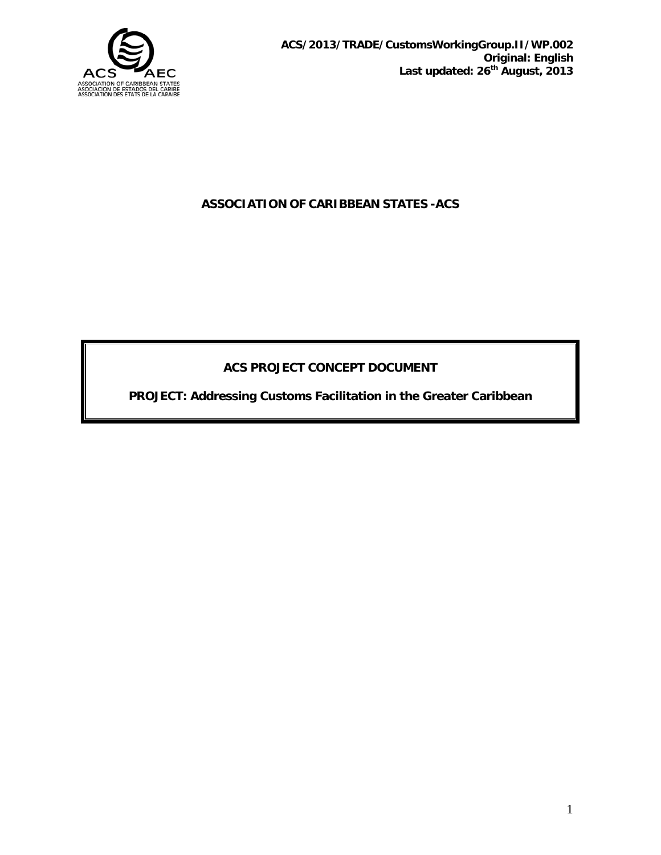

# **ASSOCIATION OF CARIBBEAN STATES -ACS**

# **ACS PROJECT CONCEPT DOCUMENT**

**PROJECT: Addressing Customs Facilitation in the Greater Caribbean**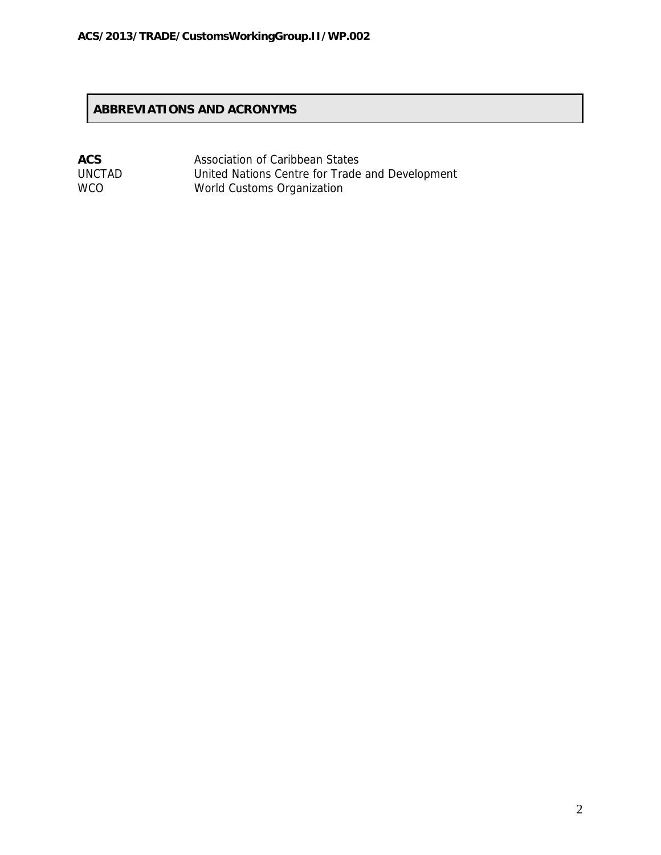# **ABBREVIATIONS AND ACRONYMS**

| <b>ACS</b>    | Association of Caribbean States                 |
|---------------|-------------------------------------------------|
| <b>UNCTAD</b> | United Nations Centre for Trade and Development |
| WCO.          | World Customs Organization                      |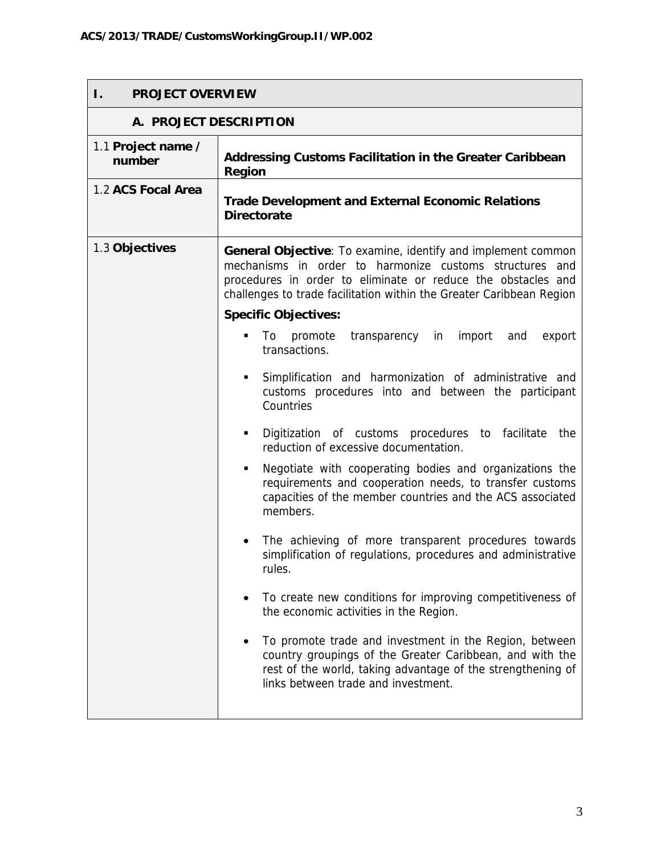| <b>PROJECT OVERVIEW</b><br>Ι. |                                                                                                                                                                                                                                                                        |  |
|-------------------------------|------------------------------------------------------------------------------------------------------------------------------------------------------------------------------------------------------------------------------------------------------------------------|--|
| A. PROJECT DESCRIPTION        |                                                                                                                                                                                                                                                                        |  |
| 1.1 Project name /<br>number  | Addressing Customs Facilitation in the Greater Caribbean<br><b>Region</b>                                                                                                                                                                                              |  |
| 1.2 ACS Focal Area            | <b>Trade Development and External Economic Relations</b><br><b>Directorate</b>                                                                                                                                                                                         |  |
| 1.3 Objectives                | <b>General Objective:</b> To examine, identify and implement common<br>mechanisms in order to harmonize customs structures and<br>procedures in order to eliminate or reduce the obstacles and<br>challenges to trade facilitation within the Greater Caribbean Region |  |
|                               | <b>Specific Objectives:</b>                                                                                                                                                                                                                                            |  |
|                               | promote<br>import<br>To<br>transparency in<br>export<br>٠<br>and<br>transactions.                                                                                                                                                                                      |  |
|                               | Simplification and harmonization of administrative and<br>٠<br>customs procedures into and between the participant<br>Countries                                                                                                                                        |  |
|                               | Digitization of customs procedures to facilitate<br>the<br>٠<br>reduction of excessive documentation.                                                                                                                                                                  |  |
|                               | Negotiate with cooperating bodies and organizations the<br>٠<br>requirements and cooperation needs, to transfer customs<br>capacities of the member countries and the ACS associated<br>members.                                                                       |  |
|                               | The achieving of more transparent procedures towards<br>simplification of regulations, procedures and administrative<br>rules.                                                                                                                                         |  |
|                               | To create new conditions for improving competitiveness of<br>the economic activities in the Region.                                                                                                                                                                    |  |
|                               | To promote trade and investment in the Region, between<br>country groupings of the Greater Caribbean, and with the<br>rest of the world, taking advantage of the strengthening of<br>links between trade and investment.                                               |  |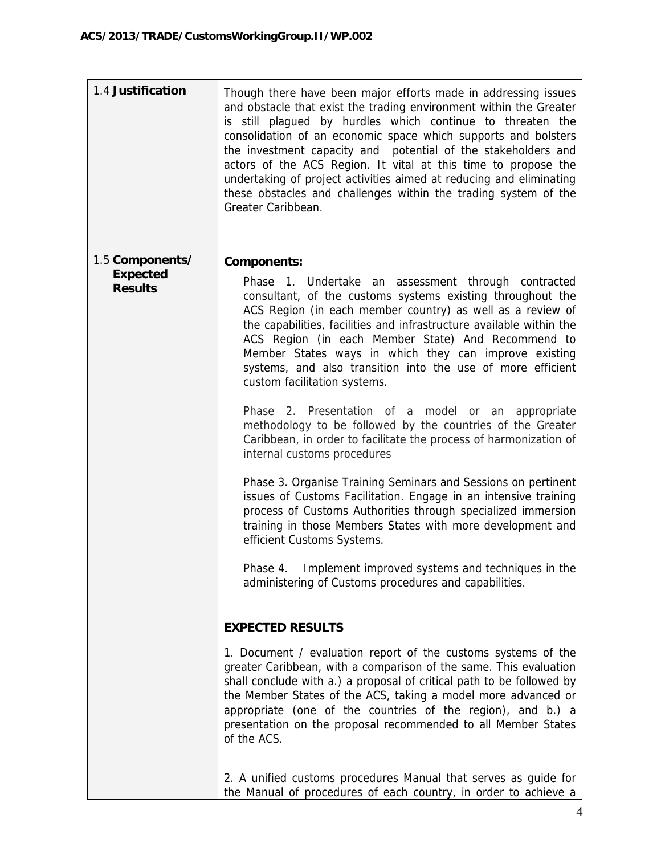| 1.4 Justification                 | Though there have been major efforts made in addressing issues<br>and obstacle that exist the trading environment within the Greater<br>is still plagued by hurdles which continue to threaten the<br>consolidation of an economic space which supports and bolsters<br>the investment capacity and potential of the stakeholders and<br>actors of the ACS Region. It vital at this time to propose the<br>undertaking of project activities aimed at reducing and eliminating<br>these obstacles and challenges within the trading system of the<br>Greater Caribbean. |
|-----------------------------------|-------------------------------------------------------------------------------------------------------------------------------------------------------------------------------------------------------------------------------------------------------------------------------------------------------------------------------------------------------------------------------------------------------------------------------------------------------------------------------------------------------------------------------------------------------------------------|
| 1.5 Components/                   | <b>Components:</b>                                                                                                                                                                                                                                                                                                                                                                                                                                                                                                                                                      |
| <b>Expected</b><br><b>Results</b> | Phase 1. Undertake an assessment through contracted<br>consultant, of the customs systems existing throughout the<br>ACS Region (in each member country) as well as a review of<br>the capabilities, facilities and infrastructure available within the<br>ACS Region (in each Member State) And Recommend to<br>Member States ways in which they can improve existing<br>systems, and also transition into the use of more efficient<br>custom facilitation systems.                                                                                                   |
|                                   | Phase 2. Presentation of a model or an appropriate<br>methodology to be followed by the countries of the Greater<br>Caribbean, in order to facilitate the process of harmonization of<br>internal customs procedures                                                                                                                                                                                                                                                                                                                                                    |
|                                   | Phase 3. Organise Training Seminars and Sessions on pertinent<br>issues of Customs Facilitation. Engage in an intensive training<br>process of Customs Authorities through specialized immersion<br>training in those Members States with more development and<br>efficient Customs Systems.                                                                                                                                                                                                                                                                            |
|                                   | Implement improved systems and techniques in the<br>Phase 4.<br>administering of Customs procedures and capabilities.                                                                                                                                                                                                                                                                                                                                                                                                                                                   |
|                                   | <b>EXPECTED RESULTS</b>                                                                                                                                                                                                                                                                                                                                                                                                                                                                                                                                                 |
|                                   | 1. Document / evaluation report of the customs systems of the<br>greater Caribbean, with a comparison of the same. This evaluation<br>shall conclude with a.) a proposal of critical path to be followed by<br>the Member States of the ACS, taking a model more advanced or<br>appropriate (one of the countries of the region), and b.) a<br>presentation on the proposal recommended to all Member States<br>of the ACS.                                                                                                                                             |
|                                   | 2. A unified customs procedures Manual that serves as guide for<br>the Manual of procedures of each country, in order to achieve a                                                                                                                                                                                                                                                                                                                                                                                                                                      |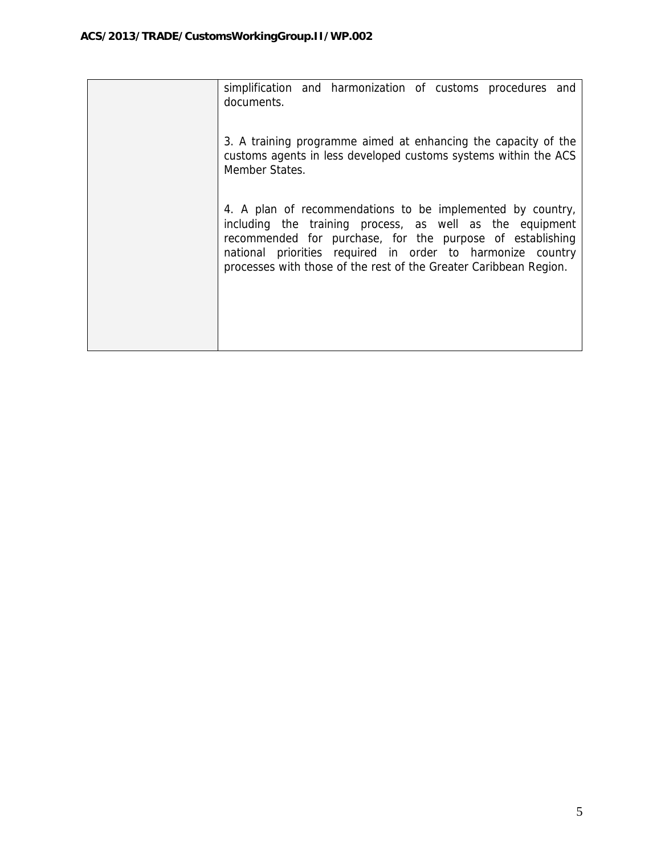| simplification and harmonization of customs procedures and<br>documents.                                                                                                                                                                                                                                               |
|------------------------------------------------------------------------------------------------------------------------------------------------------------------------------------------------------------------------------------------------------------------------------------------------------------------------|
| 3. A training programme aimed at enhancing the capacity of the<br>customs agents in less developed customs systems within the ACS<br>Member States.                                                                                                                                                                    |
| 4. A plan of recommendations to be implemented by country,<br>including the training process, as well as the equipment<br>recommended for purchase, for the purpose of establishing<br>national priorities required in order to harmonize country<br>processes with those of the rest of the Greater Caribbean Region. |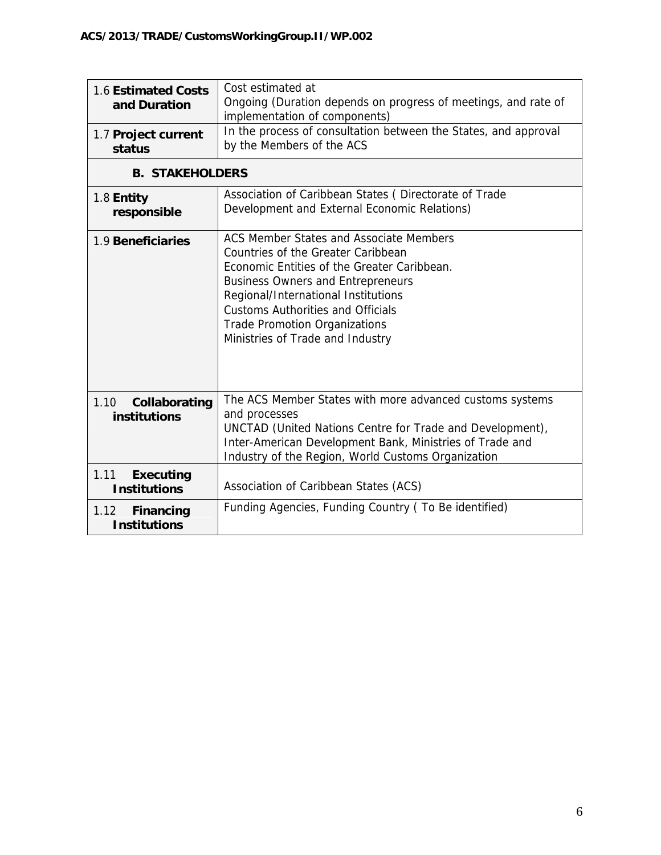| 1.6 Estimated Costs<br>and Duration             | Cost estimated at<br>Ongoing (Duration depends on progress of meetings, and rate of<br>implementation of components)                                                                                                                                                                                                                    |  |
|-------------------------------------------------|-----------------------------------------------------------------------------------------------------------------------------------------------------------------------------------------------------------------------------------------------------------------------------------------------------------------------------------------|--|
| 1.7 Project current<br>status                   | In the process of consultation between the States, and approval<br>by the Members of the ACS                                                                                                                                                                                                                                            |  |
| <b>B. STAKEHOLDERS</b>                          |                                                                                                                                                                                                                                                                                                                                         |  |
| 1.8 Entity<br>responsible                       | Association of Caribbean States (Directorate of Trade<br>Development and External Economic Relations)                                                                                                                                                                                                                                   |  |
| 1.9 Beneficiaries                               | ACS Member States and Associate Members<br>Countries of the Greater Caribbean<br>Economic Entities of the Greater Caribbean.<br><b>Business Owners and Entrepreneurs</b><br>Regional/International Institutions<br><b>Customs Authorities and Officials</b><br><b>Trade Promotion Organizations</b><br>Ministries of Trade and Industry |  |
| 1.10<br>Collaborating<br>institutions           | The ACS Member States with more advanced customs systems<br>and processes<br>UNCTAD (United Nations Centre for Trade and Development),<br>Inter-American Development Bank, Ministries of Trade and<br>Industry of the Region, World Customs Organization                                                                                |  |
| 1.11<br><b>Executing</b><br><b>Institutions</b> | Association of Caribbean States (ACS)                                                                                                                                                                                                                                                                                                   |  |
| <b>Financing</b><br>1.12<br><b>Institutions</b> | Funding Agencies, Funding Country (To Be identified)                                                                                                                                                                                                                                                                                    |  |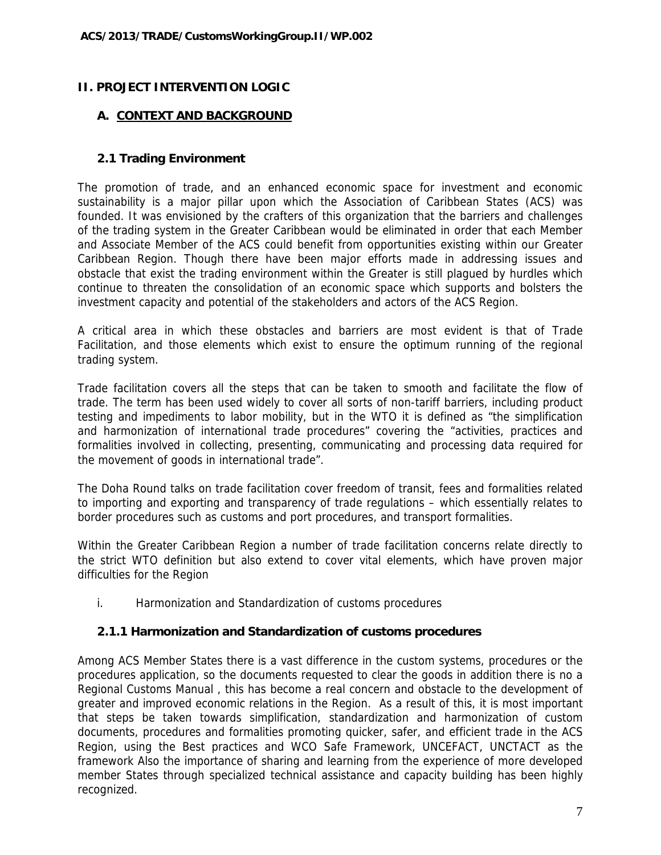## **II. PROJECT INTERVENTION LOGIC**

### **A. CONTEXT AND BACKGROUND**

#### **2.1 Trading Environment**

The promotion of trade, and an enhanced economic space for investment and economic sustainability is a major pillar upon which the Association of Caribbean States (ACS) was founded. It was envisioned by the crafters of this organization that the barriers and challenges of the trading system in the Greater Caribbean would be eliminated in order that each Member and Associate Member of the ACS could benefit from opportunities existing within our Greater Caribbean Region. Though there have been major efforts made in addressing issues and obstacle that exist the trading environment within the Greater is still plagued by hurdles which continue to threaten the consolidation of an economic space which supports and bolsters the investment capacity and potential of the stakeholders and actors of the ACS Region.

A critical area in which these obstacles and barriers are most evident is that of Trade Facilitation, and those elements which exist to ensure the optimum running of the regional trading system.

Trade facilitation covers all the steps that can be taken to smooth and facilitate the flow of trade. The term has been used widely to cover all sorts of non-tariff barriers, including product testing and impediments to labor mobility, but in the WTO it is defined as "the simplification and harmonization of international trade procedures" covering the "activities, practices and formalities involved in collecting, presenting, communicating and processing data required for the movement of goods in international trade".

The Doha Round talks on trade facilitation cover freedom of transit, fees and formalities related to importing and exporting and transparency of trade regulations – which essentially relates to border procedures such as customs and port procedures, and transport formalities.

Within the Greater Caribbean Region a number of trade facilitation concerns relate directly to the strict WTO definition but also extend to cover vital elements, which have proven major difficulties for the Region

i. Harmonization and Standardization of customs procedures

### **2.1.1 Harmonization and Standardization of customs procedures**

Among ACS Member States there is a vast difference in the custom systems, procedures or the procedures application, so the documents requested to clear the goods in addition there is no a Regional Customs Manual , this has become a real concern and obstacle to the development of greater and improved economic relations in the Region. As a result of this, it is most important that steps be taken towards simplification, standardization and harmonization of custom documents, procedures and formalities promoting quicker, safer, and efficient trade in the ACS Region, using the Best practices and WCO Safe Framework, UNCEFACT, UNCTACT as the framework Also the importance of sharing and learning from the experience of more developed member States through specialized technical assistance and capacity building has been highly recognized.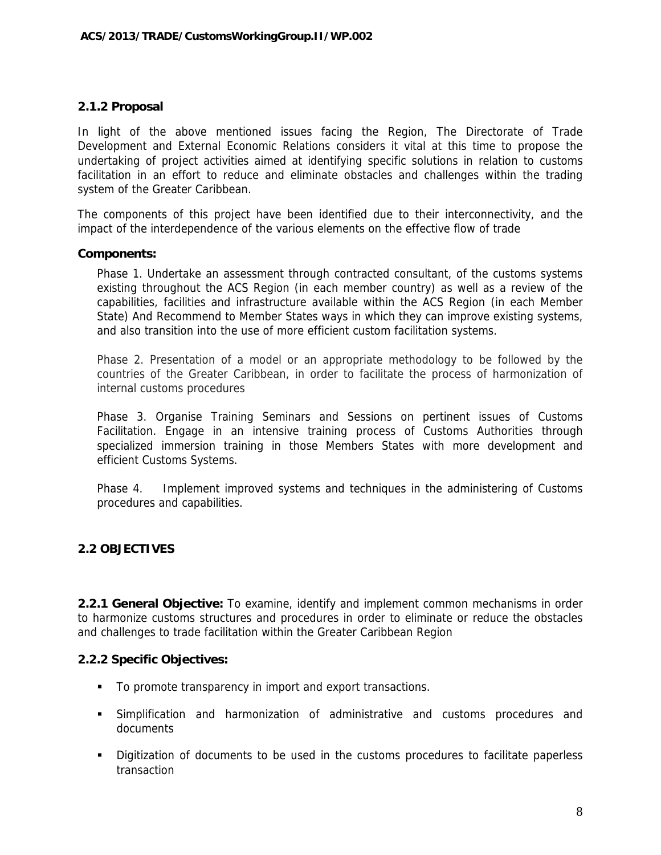#### **2.1.2 Proposal**

In light of the above mentioned issues facing the Region, The Directorate of Trade Development and External Economic Relations considers it vital at this time to propose the undertaking of project activities aimed at identifying specific solutions in relation to customs facilitation in an effort to reduce and eliminate obstacles and challenges within the trading system of the Greater Caribbean.

The components of this project have been identified due to their interconnectivity, and the impact of the interdependence of the various elements on the effective flow of trade

#### **Components:**

Phase 1. Undertake an assessment through contracted consultant, of the customs systems existing throughout the ACS Region (in each member country) as well as a review of the capabilities, facilities and infrastructure available within the ACS Region (in each Member State) And Recommend to Member States ways in which they can improve existing systems, and also transition into the use of more efficient custom facilitation systems.

Phase 2. Presentation of a model or an appropriate methodology to be followed by the countries of the Greater Caribbean, in order to facilitate the process of harmonization of internal customs procedures

Phase 3. Organise Training Seminars and Sessions on pertinent issues of Customs Facilitation. Engage in an intensive training process of Customs Authorities through specialized immersion training in those Members States with more development and efficient Customs Systems.

Phase 4. Implement improved systems and techniques in the administering of Customs procedures and capabilities.

### **2.2 OBJECTIVES**

**2.2.1 General Objective:** To examine, identify and implement common mechanisms in order to harmonize customs structures and procedures in order to eliminate or reduce the obstacles and challenges to trade facilitation within the Greater Caribbean Region

#### **2.2.2 Specific Objectives:**

- To promote transparency in import and export transactions.
- Simplification and harmonization of administrative and customs procedures and documents
- Digitization of documents to be used in the customs procedures to facilitate paperless transaction